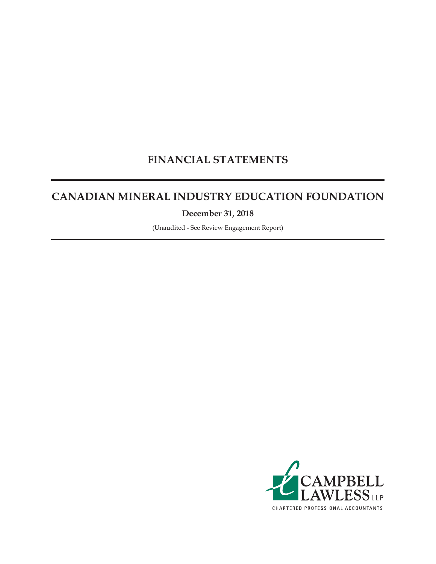# **FINANCIAL STATEMENTS**

# **CANADIAN MINERAL INDUSTRY EDUCATION FOUNDATION**

**December 31, 2018**

(Unaudited - See Review Engagement Report)

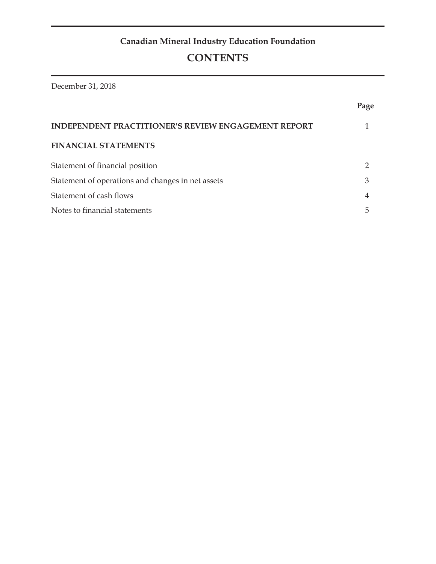December 31, 2018

|                                                            | Page           |
|------------------------------------------------------------|----------------|
| <b>INDEPENDENT PRACTITIONER'S REVIEW ENGAGEMENT REPORT</b> |                |
| <b>FINANCIAL STATEMENTS</b>                                |                |
| Statement of financial position                            | ႒              |
| Statement of operations and changes in net assets          | 3              |
| Statement of cash flows                                    | $\overline{4}$ |
| Notes to financial statements                              | 5              |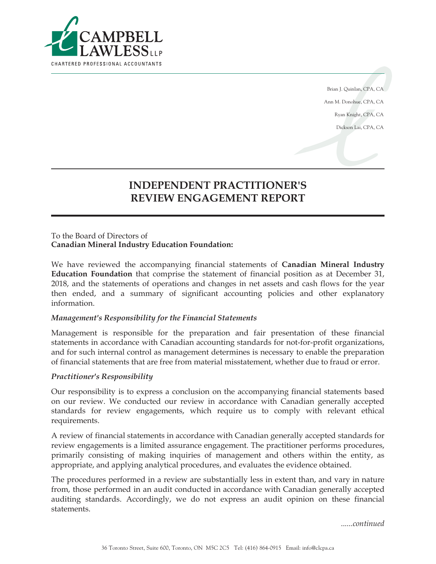

Brian J. Quinlan, CPA, CA Ann M. Donohue, CPA, CA Ryan Knight, CPA, CA Dickson Lai, CPA, CA

# **INDEPENDENT PRACTITIONER'S REVIEW ENGAGEMENT REPORT**

#### To the Board of Directors of **Canadian Mineral Industry Education Foundation:**

We have reviewed the accompanying financial statements of **Canadian Mineral Industry Education Foundation** that comprise the statement of financial position as at December 31, 2018, and the statements of operations and changes in net assets and cash flows for the year then ended, and a summary of significant accounting policies and other explanatory information.

#### *Management's Responsibility for the Financial Statements*

Management is responsible for the preparation and fair presentation of these financial statements in accordance with Canadian accounting standards for not-for-profit organizations, and for such internal control as management determines is necessary to enable the preparation of financial statements that are free from material misstatement, whether due to fraud or error.

#### *Practitioner's Responsibility*

Our responsibility is to express a conclusion on the accompanying financial statements based on our review. We conducted our review in accordance with Canadian generally accepted standards for review engagements, which require us to comply with relevant ethical requirements.

A review of financial statements in accordance with Canadian generally accepted standards for review engagements is a limited assurance engagement. The practitioner performs procedures, primarily consisting of making inquiries of management and others within the entity, as appropriate, and applying analytical procedures, and evaluates the evidence obtained.

The procedures performed in a review are substantially less in extent than, and vary in nature from, those performed in an audit conducted in accordance with Canadian generally accepted auditing standards. Accordingly, we do not express an audit opinion on these financial statements.

*......continued*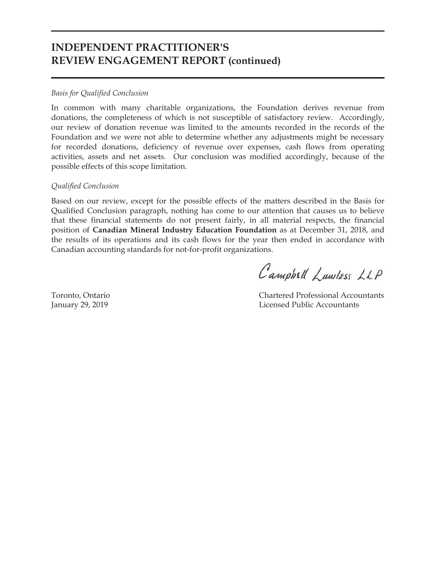### **INDEPENDENT PRACTITIONER'S REVIEW ENGAGEMENT REPORT (continued)**

#### *Basis for Qualified Conclusion*

In common with many charitable organizations, the Foundation derives revenue from donations, the completeness of which is not susceptible of satisfactory review. Accordingly, our review of donation revenue was limited to the amounts recorded in the records of the Foundation and we were not able to determine whether any adjustments might be necessary for recorded donations, deficiency of revenue over expenses, cash flows from operating activities, assets and net assets. Our conclusion was modified accordingly, because of the possible effects of this scope limitation.

#### *Qualified Conclusion*

Based on our review, except for the possible effects of the matters described in the Basis for Qualified Conclusion paragraph, nothing has come to our attention that causes us to believe that these financial statements do not present fairly, in all material respects, the financial position of **Canadian Mineral Industry Education Foundation** as at December 31, 2018, and the results of its operations and its cash flows for the year then ended in accordance with Canadian accounting standards for not-for-profit organizations.

Campbell Lawless LLP

Toronto, Ontario Chartered Professional Accountants January 29, 2019 Licensed Public Accountants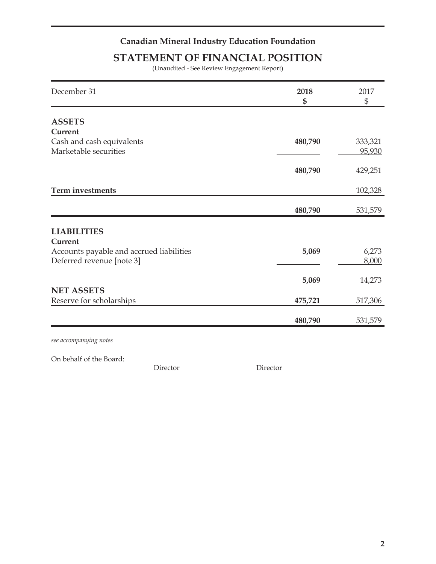## **STATEMENT OF FINANCIAL POSITION**

(Unaudited - See Review Engagement Report)

| December 31                              | 2018<br>\$ | 2017<br>$\frac{6}{5}$ |
|------------------------------------------|------------|-----------------------|
| <b>ASSETS</b>                            |            |                       |
| Current                                  |            |                       |
| Cash and cash equivalents                | 480,790    | 333,321               |
| Marketable securities                    |            | 95,930                |
|                                          | 480,790    | 429,251               |
| <b>Term investments</b>                  |            | 102,328               |
|                                          | 480,790    | 531,579               |
|                                          |            |                       |
| <b>LIABILITIES</b>                       |            |                       |
| Current                                  |            |                       |
| Accounts payable and accrued liabilities | 5,069      | 6,273                 |
| Deferred revenue [note 3]                |            | 8,000                 |
|                                          | 5,069      | 14,273                |
| <b>NET ASSETS</b>                        |            |                       |
| Reserve for scholarships                 | 475,721    | 517,306               |
|                                          | 480,790    | 531,579               |
|                                          |            |                       |

*see accompanying notes*

On behalf of the Board:

Director Director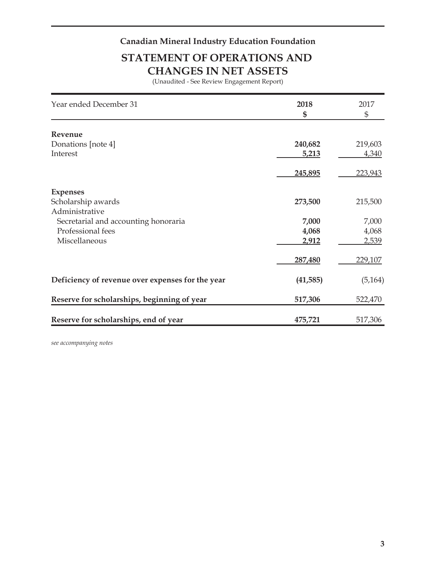# **STATEMENT OF OPERATIONS AND CHANGES IN NET ASSETS**

(Unaudited - See Review Engagement Report)

| Year ended December 31                           | 2018<br>\$ | 2017<br>\$ |
|--------------------------------------------------|------------|------------|
|                                                  |            |            |
| Revenue                                          |            |            |
| Donations [note 4]                               | 240,682    | 219,603    |
| Interest                                         | 5,213      | 4,340      |
|                                                  | 245,895    | 223,943    |
| <b>Expenses</b>                                  |            |            |
| Scholarship awards                               | 273,500    | 215,500    |
| Administrative                                   |            |            |
| Secretarial and accounting honoraria             | 7,000      | 7,000      |
| Professional fees                                | 4,068      | 4,068      |
| Miscellaneous                                    | 2,912      | 2,539      |
|                                                  | 287,480    | 229,107    |
| Deficiency of revenue over expenses for the year | (41, 585)  | (5, 164)   |
| Reserve for scholarships, beginning of year      | 517,306    | 522,470    |
| Reserve for scholarships, end of year            | 475,721    | 517,306    |

*see accompanying notes*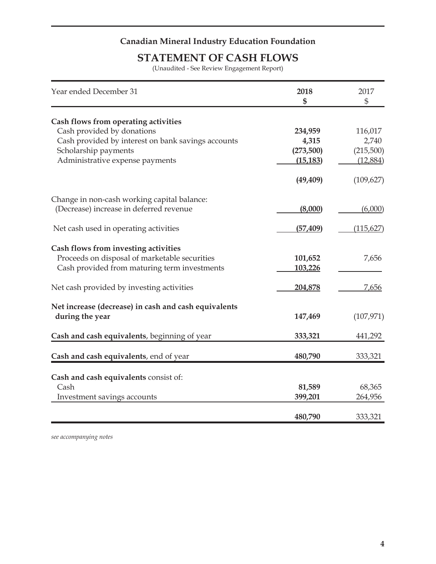### **STATEMENT OF CASH FLOWS**

(Unaudited - See Review Engagement Report)

| Year ended December 31                                             | 2018<br>\$ | 2017<br>\$ |
|--------------------------------------------------------------------|------------|------------|
|                                                                    |            |            |
| Cash flows from operating activities<br>Cash provided by donations | 234,959    | 116,017    |
| Cash provided by interest on bank savings accounts                 | 4,315      | 2,740      |
| Scholarship payments                                               | (273,500)  | (215,500)  |
| Administrative expense payments                                    | (15, 183)  | (12,884)   |
|                                                                    |            |            |
|                                                                    | (49, 409)  | (109, 627) |
| Change in non-cash working capital balance:                        |            |            |
| (Decrease) increase in deferred revenue                            | (8,000)    | (6,000)    |
|                                                                    |            |            |
| Net cash used in operating activities                              | (57, 409)  | (115, 627) |
| Cash flows from investing activities                               |            |            |
| Proceeds on disposal of marketable securities                      | 101,652    | 7,656      |
| Cash provided from maturing term investments                       | 103,226    |            |
| Net cash provided by investing activities                          | 204,878    | 7,656      |
|                                                                    |            |            |
| Net increase (decrease) in cash and cash equivalents               |            |            |
| during the year                                                    | 147,469    | (107, 971) |
| Cash and cash equivalents, beginning of year                       | 333,321    | 441,292    |
|                                                                    |            |            |
| Cash and cash equivalents, end of year                             | 480,790    | 333,321    |
| Cash and cash equivalents consist of:                              |            |            |
| Cash                                                               | 81,589     | 68,365     |
| Investment savings accounts                                        | 399,201    | 264,956    |
|                                                                    |            |            |
|                                                                    | 480,790    | 333,321    |

*see accompanying notes*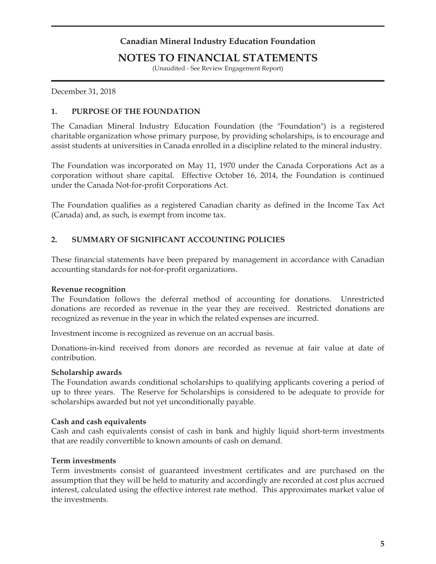### **NOTES TO FINANCIAL STATEMENTS**

(Unaudited - See Review Engagement Report)

December 31, 2018

#### **1. PURPOSE OF THE FOUNDATION**

The Canadian Mineral Industry Education Foundation (the "Foundation") is a registered charitable organization whose primary purpose, by providing scholarships, is to encourage and assist students at universities in Canada enrolled in a discipline related to the mineral industry.

The Foundation was incorporated on May 11, 1970 under the Canada Corporations Act as a corporation without share capital. Effective October 16, 2014, the Foundation is continued under the Canada Not-for-profit Corporations Act.

The Foundation qualifies as a registered Canadian charity as defined in the Income Tax Act (Canada) and, as such, is exempt from income tax.

#### **2. SUMMARY OF SIGNIFICANT ACCOUNTING POLICIES**

These financial statements have been prepared by management in accordance with Canadian accounting standards for not-for-profit organizations.

#### **Revenue recognition**

The Foundation follows the deferral method of accounting for donations. Unrestricted donations are recorded as revenue in the year they are received. Restricted donations are recognized as revenue in the year in which the related expenses are incurred.

Investment income is recognized as revenue on an accrual basis.

Donations-in-kind received from donors are recorded as revenue at fair value at date of contribution.

#### **Scholarship awards**

The Foundation awards conditional scholarships to qualifying applicants covering a period of up to three years. The Reserve for Scholarships is considered to be adequate to provide for scholarships awarded but not yet unconditionally payable.

#### **Cash and cash equivalents**

Cash and cash equivalents consist of cash in bank and highly liquid short-term investments that are readily convertible to known amounts of cash on demand.

#### **Term investments**

Term investments consist of guaranteed investment certificates and are purchased on the assumption that they will be held to maturity and accordingly are recorded at cost plus accrued interest, calculated using the effective interest rate method. This approximates market value of the investments.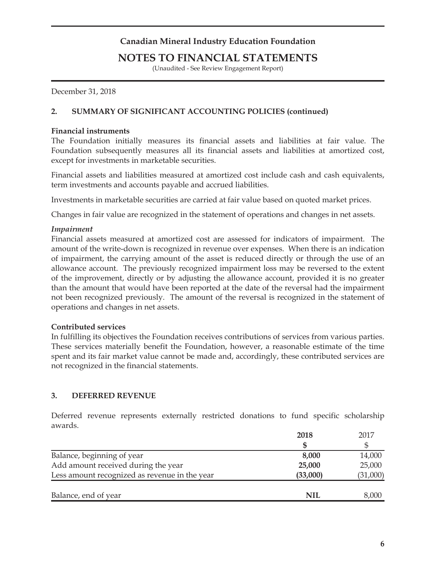### **NOTES TO FINANCIAL STATEMENTS**

(Unaudited - See Review Engagement Report)

December 31, 2018

#### **2. SUMMARY OF SIGNIFICANT ACCOUNTING POLICIES (continued)**

#### **Financial instruments**

The Foundation initially measures its financial assets and liabilities at fair value. The Foundation subsequently measures all its financial assets and liabilities at amortized cost, except for investments in marketable securities.

Financial assets and liabilities measured at amortized cost include cash and cash equivalents, term investments and accounts payable and accrued liabilities.

Investments in marketable securities are carried at fair value based on quoted market prices.

Changes in fair value are recognized in the statement of operations and changes in net assets.

#### *Impairment*

Financial assets measured at amortized cost are assessed for indicators of impairment. The amount of the write-down is recognized in revenue over expenses. When there is an indication of impairment, the carrying amount of the asset is reduced directly or through the use of an allowance account. The previously recognized impairment loss may be reversed to the extent of the improvement, directly or by adjusting the allowance account, provided it is no greater than the amount that would have been reported at the date of the reversal had the impairment not been recognized previously. The amount of the reversal is recognized in the statement of operations and changes in net assets.

#### **Contributed services**

In fulfilling its objectives the Foundation receives contributions of services from various parties. These services materially benefit the Foundation, however, a reasonable estimate of the time spent and its fair market value cannot be made and, accordingly, these contributed services are not recognized in the financial statements.

#### **3. DEFERRED REVENUE**

Deferred revenue represents externally restricted donations to fund specific scholarship awards.

|                                               | 2018       | 2017     |
|-----------------------------------------------|------------|----------|
|                                               |            |          |
| Balance, beginning of year                    | 8,000      | 14,000   |
| Add amount received during the year           | 25,000     | 25,000   |
| Less amount recognized as revenue in the year | (33,000)   | (31,000) |
|                                               |            |          |
| Balance, end of year                          | <b>NIL</b> | 8,000    |